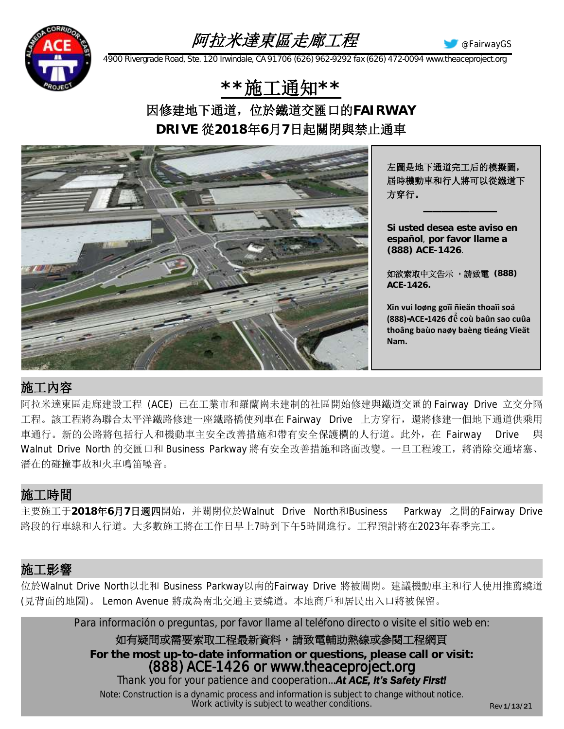### 阿拉米達東區走廊工程



@FairwayGS

*4900 Rivergrade Road, Ste. 120 Irwindale, CA 91706 (626) 962-9292 fax (626) 472-0094 www.theaceproject.org*

**\*\***施工通知**\*\*** 因修建地下通道,位於鐵道交匯口的**FAIRWAY DRIVE** 從**2018**年**6**月**7**日起關閉與禁止通車



左圖是地下通道完工后的模擬圖, 屆時機動車和行人將可以從鐵道下 方穿行。

**————————**

**Si usted desea este aviso en español**, **por favor llame a (888) ACE-1426**.

如欲索取中文告示 ,請致電 **(888) ACE-1426.**

**Xin vui loøng goïi ñieän thoaïi soá (888)-ACE-1426 để coù baûn sao cuûa thoâng baùo naøy baèng tieáng Vieät Nam.**

### 施工內容

阿拉米達東區走廊建設工程 (ACE) 已在工業市和羅蘭崗未建制的社區開始修建與鐵道交匯的 Fairway Drive 立交分隔 工程。該工程將為聯合太平洋鐵路修建一座鐵路橋使列車在 Fairway Drive 上方穿行, 還將修建一個地下通道供乘用 車通行。新的公路將包括行人和機動車主安全改善措施和帶有安全保護欄的人行道。此外,在 Fairway Drive 與 Walnut Drive North 的交匯口和 Business Parkway 將有安全改善措施和路面改變。一旦工程竣工,將消除交通堵塞、 潛在的碰撞事故和火車鳴笛噪音。

#### 施工時間

主要施工于**2018**年**6**月**7**日週四開始,并關閉位於Walnut Drive North和Business Parkway 之間的Fairway Drive 路段的行車線和人行道。大多數施工將在工作日早上7時到下午5時間進行。工程預計將在2023年春季完工。

#### 施工影響

位於Walnut Drive North以北和 Business Parkway以南的Fairway Drive 將被關閉。建議機動車主和行人使用推薦繞道 (見背面的地圖)。 Lemon Avenue 將成為南北交通主要繞道。本地商戶和居民出入口將被保留。

*Para información o preguntas, por favor llame al teléfono directo o visite el sitio web en:*

如有疑問或需要索取工程最新資料,請致電輔助熱線或參閱工程網頁 **For the most up-to-date information or questions, please call or visit:** *(888) ACE-1426 or www.theaceproject.org Thank you for your patience and cooperation...At ACE, it's Safety First! Note: Construction is a dynamic process and information is subject to change without notice. Work activity is subject to weather conditions.*